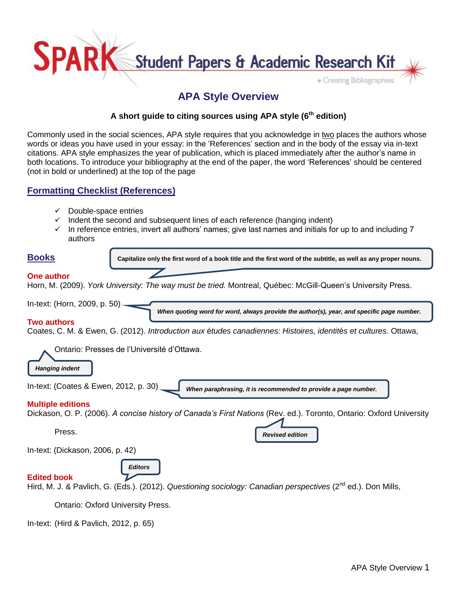

# **APA Style Overview**

# **A short guide to citing sources using APA style (6th edition)**

Commonly used in the social sciences, APA style requires that you acknowledge in two places the authors whose words or ideas you have used in your essay: in the 'References' section and in the body of the essay via in-text citations. APA style emphasizes the year of publication, which is placed immediately after the author's name in both locations. To introduce your bibliography at the end of the paper, the word 'References' should be centered (not in bold or underlined) at the top of the page

# **Formatting Checklist (References)**

- $\checkmark$  Double-space entries
- $\checkmark$  Indent the second and subsequent lines of each reference (hanging indent)
- $\checkmark$  In reference entries, invert all authors' names; give last names and initials for up to and including 7 authors

| <b>Books</b>                           | Capitalize only the first word of a book title and the first word of the subtitle, as well as any proper nouns.                            |
|----------------------------------------|--------------------------------------------------------------------------------------------------------------------------------------------|
| <b>One author</b>                      | Horn, M. (2009). York University: The way must be tried. Montreal, Québec: McGill-Queen's University Press.                                |
| In-text: (Horn, 2009, p. 50)           | When quoting word for word, always provide the author(s), year, and specific page number.                                                  |
| <b>Two authors</b>                     | Coates, C. M. & Ewen, G. (2012). Introduction aux études canadiennes: Histoires, identités et cultures. Ottawa,                            |
| <b>Hanging indent</b>                  | Ontario: Presses de l'Université d'Ottawa.                                                                                                 |
| In-text: (Coates & Ewen, 2012, p. 30)  | When paraphrasing, it is recommended to provide a page number.                                                                             |
| <b>Multiple editions</b>               | Dickason, O. P. (2006). A concise history of Canada's First Nations (Rev. ed.). Toronto, Ontario: Oxford University                        |
| Press.                                 | <b>Revised edition</b>                                                                                                                     |
| In-text: (Dickason, 2006, p. 42)       |                                                                                                                                            |
| <b>Edited book</b>                     | <b>Editors</b><br>Hird, M. J. & Pavlich, G. (Eds.). (2012). Questioning sociology: Canadian perspectives (2 <sup>nd</sup> ed.). Don Mills, |
|                                        | Ontario: Oxford University Press.                                                                                                          |
| In-text: (Hird & Pavlich, 2012, p. 65) |                                                                                                                                            |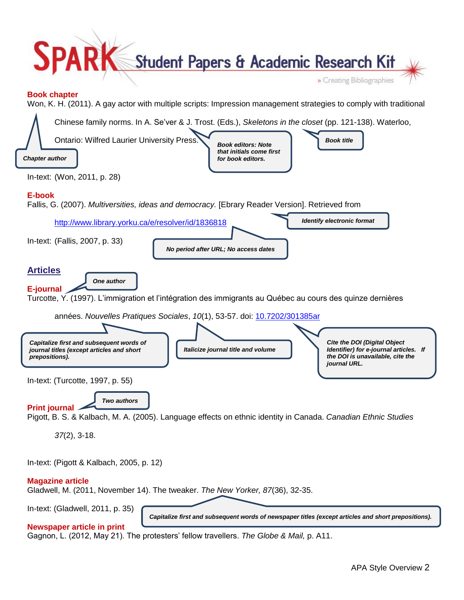

In-text: (Pigott & Kalbach, 2005, p. 12)

### **Magazine article**

Gladwell, M. (2011, November 14). The tweaker. *The New Yorker, 87*(36), 32-35.

In-text: (Gladwell, 2011, p. 35)

*Capitalize first and subsequent words of newspaper titles (except articles and short prepositions).*

### **Newspaper article in print**

Gagnon, L. (2012, May 21). The protesters' fellow travellers. *The Globe & Mail,* p. A11.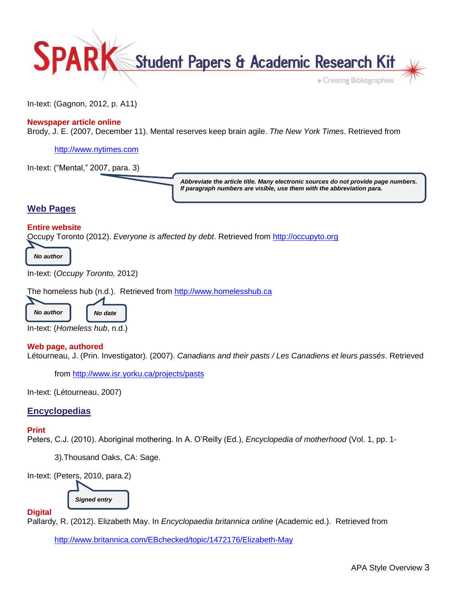

In-text: (Gagnon, 2012, p. A11)

## **Newspaper article online**

Brody, J. E. (2007, December 11). Mental reserves keep brain agile. *The New York Times*. Retrieved from

[http://www.nytimes.com](http://www.nytimes.com/)

In-text: ("Mental," 2007, para. 3)

*Abbreviate the article title. Many electronic sources do not provide page numbers. If paragraph numbers are visible, use them with the abbreviation para.* 

# **Web Pages**

### **Entire website**

Occupy Toronto (2012). *Everyone is affected by debt*. Retrieved from [http://occupyto.org](http://occupyto.org/)

*No author*

In-text: (*Occupy Toronto,* 2012)

The homeless hub (n.d.). Retrieved from [http://www.homelesshub.ca](http://www.homelesshub.ca/)



In-text: (*Homeless hub*, n.d.)

### **Web page, authored**

Létourneau, J. (Prin. Investigator). (2007). *Canadians and their pasts / Les Canadiens et leurs passés*. Retrieved

from<http://www.isr.yorku.ca/projects/pasts>

In-text: (Létourneau, 2007)

## **Encyclopedias**

### **Print**

Peters, C.J. (2010). Aboriginal mothering. In A. O'Reilly (Ed.), *Encyclopedia of motherhood* (Vol. 1, pp. 1-

3)*.*Thousand Oaks, CA: Sage.

In-text: (Peters, 2010, para.2)

*Signed entry*

**Digital**

Pallardy, R. (2012). Elizabeth May. In *Encyclopaedia britannica online* (Academic ed.). Retrieved from

<http://www.britannica.com/EBchecked/topic/1472176/Elizabeth-May>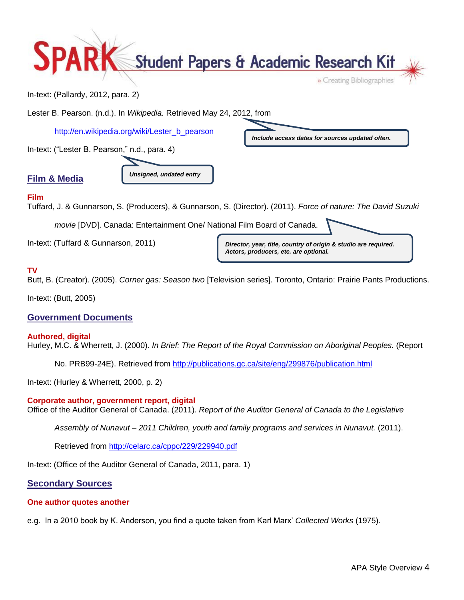

In-text: (Pallardy, 2012, para. 2)

Lester B. Pearson. (n.d.). In *Wikipedia.* Retrieved May 24, 2012, from

[http://en.wikipedia.org/wiki/Lester\\_b\\_pearson](http://en.wikipedia.org/wiki/Lester_b_pearson)

In-text: ("Lester B. Pearson," n.d., para. 4)



*Unsigned, undated entry*

*Include access dates for sources updated often.*

## **Film**

Tuffard, J. & Gunnarson, S. (Producers), & Gunnarson, S. (Director). (2011). *Force of nature: The David Suzuki* 

*movie* [DVD]. Canada: Entertainment One/ National Film Board of Canada.

In-text: (Tuffard & Gunnarson, 2011)

*Director, year, title, country of origin & studio are required. Actors, producers, etc. are optional.*

# **TV**

Butt, B. (Creator). (2005). *Corner gas: Season two* [Television series]. Toronto, Ontario: Prairie Pants Productions.

In-text: (Butt, 2005)

# **Government Documents**

### **Authored, digital**

Hurley, M.C. & Wherrett, J. (2000). *In Brief: The Report of the Royal Commission on Aboriginal Peoples.* (Report

No. PRB99-24E). Retrieved from<http://publications.gc.ca/site/eng/299876/publication.html>

In-text: (Hurley & Wherrett, 2000, p. 2)

## **Corporate author, government report, digital**

Office of the Auditor General of Canada. (2011). *Report of the Auditor General of Canada to the Legislative* 

*Assembly of Nunavut – 2011 Children, youth and family programs and services in Nunavut.* (2011).

Retrieved from<http://celarc.ca/cppc/229/229940.pdf>

In-text: (Office of the Auditor General of Canada, 2011, para. 1)

# **Secondary Sources**

## **One author quotes another**

e.g. In a 2010 book by K. Anderson, you find a quote taken from Karl Marx' *Collected Works* (1975)*.*